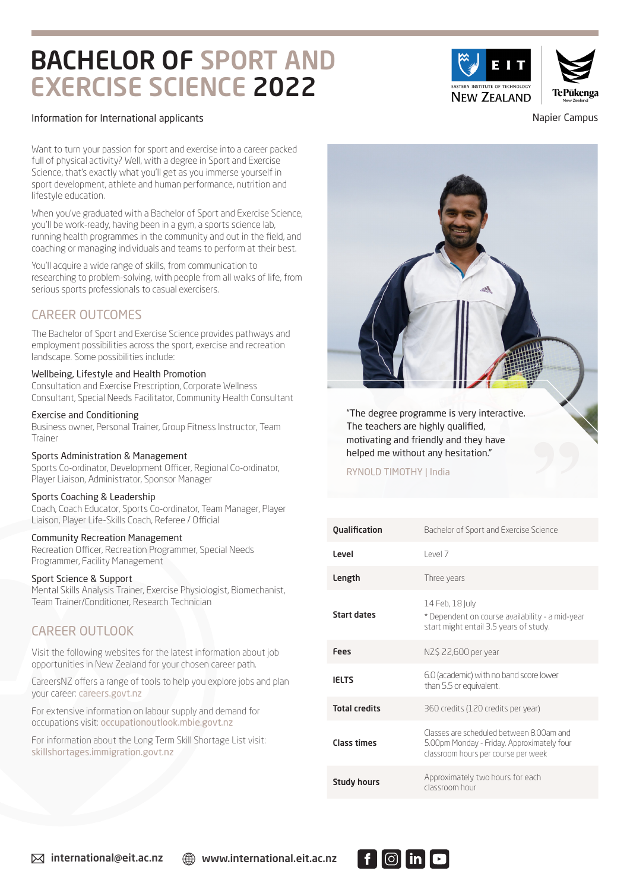# BACHELOR OF SPORT AND EXERCISE SCIENCE 2022

#### Information for International applicants Napier Campus

Want to turn your passion for sport and exercise into a career packed full of physical activity? Well, with a degree in Sport and Exercise Science, that's exactly what you'll get as you immerse yourself in sport development, athlete and human performance, nutrition and lifestyle education.

When you've graduated with a Bachelor of Sport and Exercise Science, you'll be work-ready, having been in a gym, a sports science lab, running health programmes in the community and out in the field, and coaching or managing individuals and teams to perform at their best.

You'll acquire a wide range of skills, from communication to researching to problem-solving, with people from all walks of life, from serious sports professionals to casual exercisers.

## CAREER OUTCOMES

The Bachelor of Sport and Exercise Science provides pathways and employment possibilities across the sport, exercise and recreation landscape. Some possibilities include:

### Wellbeing, Lifestyle and Health Promotion

Consultation and Exercise Prescription, Corporate Wellness Consultant, Special Needs Facilitator, Community Health Consultant

#### Exercise and Conditioning

Business owner, Personal Trainer, Group Fitness Instructor, Team Trainer

## Sports Administration & Management

Sports Co-ordinator, Development Officer, Regional Co-ordinator, Player Liaison, Administrator, Sponsor Manager

#### Sports Coaching & Leadership

Coach, Coach Educator, Sports Co-ordinator, Team Manager, Player Liaison, Player Life-Skills Coach, Referee / Official

## Community Recreation Management

Recreation Officer, Recreation Programmer, Special Needs Programmer, Facility Management

#### Sport Science & Support

Mental Skills Analysis Trainer, Exercise Physiologist, Biomechanist, Team Trainer/Conditioner, Research Technician

## CAREER OUTLOOK

Visit the following websites for the latest information about job opportunities in New Zealand for your chosen career path.

CareersNZ offers a range of tools to help you explore jobs and plan your career: careers.govt.nz

For extensive information on labour supply and demand for occupations visit: occupationoutlook.mbie.govt.nz

For information about the Long Term Skill Shortage List visit: skillshortages.immigration.govt.nz



## RYNOLD TIMOTHY | India

| Qualification        | Bachelor of Sport and Exercise Science                                                                                        |
|----------------------|-------------------------------------------------------------------------------------------------------------------------------|
| Level                | PAP17                                                                                                                         |
| Length               | Three years                                                                                                                   |
| Start dates          | 14 Feb, 18 July<br>* Dependent on course availability - a mid-year<br>start might entail 3.5 years of study.                  |
| Fees                 | NZ\$ 22,600 per year                                                                                                          |
| <b>IELTS</b>         | 6.0 (academic) with no band score lower<br>than 5.5 or equivalent.                                                            |
| <b>Total credits</b> | 360 credits (120 credits per year)                                                                                            |
| <b>Class times</b>   | Classes are scheduled between 8.00am and<br>5.00pm Monday - Friday. Approximately four<br>classroom hours per course per week |
| <b>Study hours</b>   | Approximately two hours for each<br>classroom hour                                                                            |

 $|O|$  in  $|O|$ 



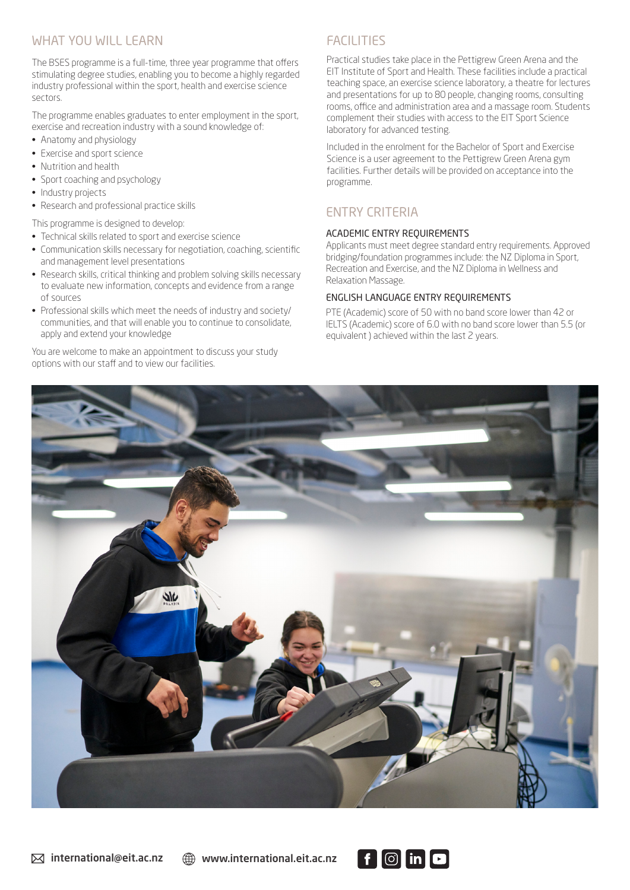## WHAT YOU WILL LEARN

The BSES programme is a full-time, three year programme that offers stimulating degree studies, enabling you to become a highly regarded industry professional within the sport, health and exercise science sectors.

The programme enables graduates to enter employment in the sport, exercise and recreation industry with a sound knowledge of:

- Anatomy and physiology
- Exercise and sport science
- Nutrition and health
- Sport coaching and psychology
- Industry projects
- Research and professional practice skills

This programme is designed to develop:

- Technical skills related to sport and exercise science
- Communication skills necessary for negotiation, coaching, scientific and management level presentations
- Research skills, critical thinking and problem solving skills necessary to evaluate new information, concepts and evidence from a range of sources
- Professional skills which meet the needs of industry and society/ communities, and that will enable you to continue to consolidate, apply and extend your knowledge

You are welcome to make an appointment to discuss your study options with our staff and to view our facilities.

# **FACILITIES**

Practical studies take place in the Pettigrew Green Arena and the EIT Institute of Sport and Health. These facilities include a practical teaching space, an exercise science laboratory, a theatre for lectures and presentations for up to 80 people, changing rooms, consulting rooms, office and administration area and a massage room. Students complement their studies with access to the EIT Sport Science laboratory for advanced testing.

Included in the enrolment for the Bachelor of Sport and Exercise Science is a user agreement to the Pettigrew Green Arena gym facilities. Further details will be provided on acceptance into the programme.

## ENTRY CRITERIA

## ACADEMIC ENTRY REQUIREMENTS

Applicants must meet degree standard entry requirements. Approved bridging/foundation programmes include: the NZ Diploma in Sport, Recreation and Exercise, and the NZ Diploma in Wellness and Relaxation Massage.

## ENGLISH LANGUAGE ENTRY REQUIREMENTS

PTE (Academic) score of 50 with no band score lower than 42 or IELTS (Academic) score of 6.0 with no band score lower than 5.5 (or equivalent ) achieved within the last 2 years.



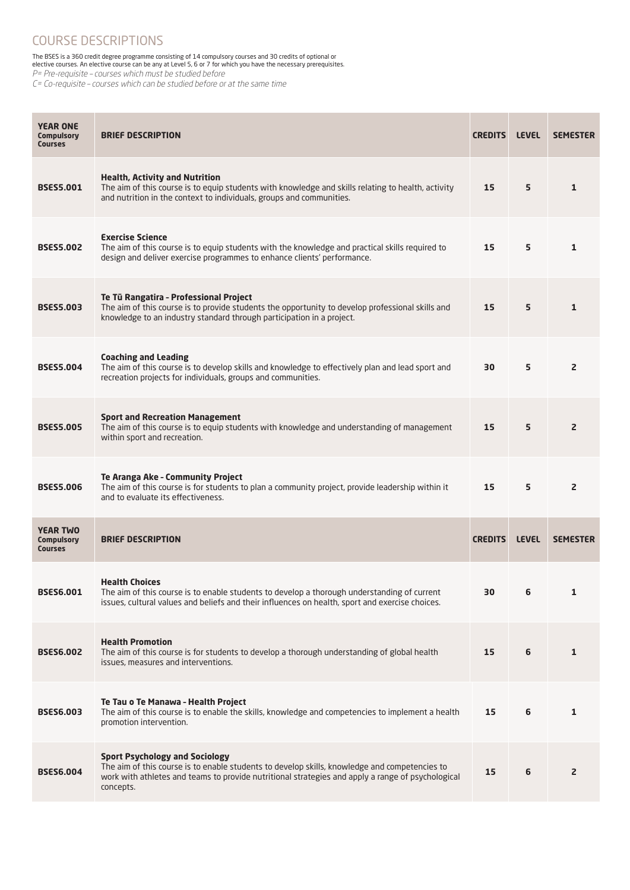## COURSE DESCRIPTIONS

The BSES is a 360 credit degree programme consisting of 14 compulsory courses and 30 credits of optional or elective courses. An elective course can be any at Level 5, 6 or 7 for which you have the necessary prerequisites.

P= Pre-requisite – courses which must be studied before

C= Co-requisite – courses which can be studied before or at the same time

| <b>YEAR ONE</b><br><b>Compulsory</b><br><b>Courses</b> | <b>BRIEF DESCRIPTION</b>                                                                                                                                                                                                                                 | <b>CREDITS</b> | <b>LEVEL</b> | <b>SEMESTER</b> |
|--------------------------------------------------------|----------------------------------------------------------------------------------------------------------------------------------------------------------------------------------------------------------------------------------------------------------|----------------|--------------|-----------------|
| <b>BSES5.001</b>                                       | <b>Health, Activity and Nutrition</b><br>The aim of this course is to equip students with knowledge and skills relating to health, activity<br>and nutrition in the context to individuals, groups and communities.                                      | 15             | 5            | $\mathbf{1}$    |
| <b>BSES5.002</b>                                       | <b>Exercise Science</b><br>The aim of this course is to equip students with the knowledge and practical skills required to<br>design and deliver exercise programmes to enhance clients' performance.                                                    | 15             | 5            | $\mathbf{1}$    |
| <b>BSES5.003</b>                                       | Te Tū Rangatira - Professional Project<br>The aim of this course is to provide students the opportunity to develop professional skills and<br>knowledge to an industry standard through participation in a project.                                      | 15             | 5            | $\mathbf{1}$    |
| <b>BSES5.004</b>                                       | <b>Coaching and Leading</b><br>The aim of this course is to develop skills and knowledge to effectively plan and lead sport and<br>recreation projects for individuals, groups and communities.                                                          | 30             | 5            | $\mathsf{z}$    |
| <b>BSES5.005</b>                                       | <b>Sport and Recreation Management</b><br>The aim of this course is to equip students with knowledge and understanding of management<br>within sport and recreation.                                                                                     | 15             | 5            | $\overline{2}$  |
| <b>BSES5.006</b>                                       | <b>Te Aranga Ake - Community Project</b><br>The aim of this course is for students to plan a community project, provide leadership within it<br>and to evaluate its effectiveness.                                                                       | 15             | 5            | $\overline{2}$  |
| <b>YEAR TWO</b><br><b>Compulsory</b><br><b>Courses</b> | <b>BRIEF DESCRIPTION</b>                                                                                                                                                                                                                                 | <b>CREDITS</b> | <b>LEVEL</b> | <b>SEMESTER</b> |
| <b>BSES6.001</b>                                       | <b>Health Choices</b><br>The aim of this course is to enable students to develop a thorough understanding of current<br>issues, cultural values and beliefs and their influences on health, sport and exercise choices.                                  | 30             | 6            | 1               |
| <b>BSES6.002</b>                                       | <b>Health Promotion</b><br>The aim of this course is for students to develop a thorough understanding of global health<br>issues, measures and interventions.                                                                                            | 15             | 6            | $\mathbf{1}$    |
| <b>BSES6.003</b>                                       | Te Tau o Te Manawa - Health Project<br>The aim of this course is to enable the skills, knowledge and competencies to implement a health<br>promotion intervention.                                                                                       | 15             | 6            | 1               |
| <b>BSES6.004</b>                                       | <b>Sport Psychology and Sociology</b><br>The aim of this course is to enable students to develop skills, knowledge and competencies to<br>work with athletes and teams to provide nutritional strategies and apply a range of psychological<br>concepts. | 15             | 6            | $\overline{2}$  |